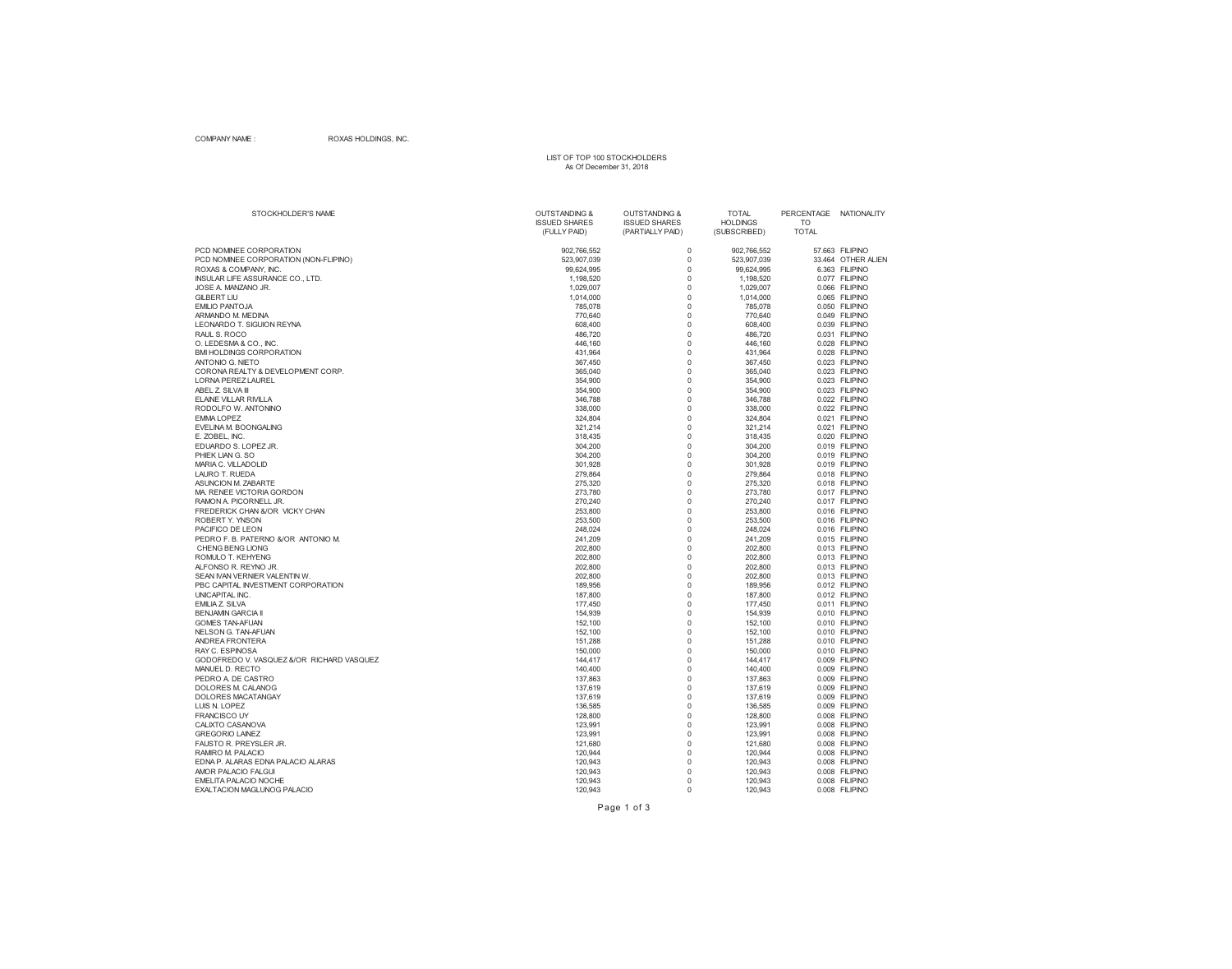### COMPANY NAME : ROXAS HOLDINGS, INC.

## LIST OF TOP 100 STOCKHOLDERS As Of December 31, 2018

| STOCKHOLDER'S NAME                        | <b>OUTSTANDING &amp;</b><br><b>ISSUED SHARES</b> | <b>OUTSTANDING &amp;</b><br><b>ISSUED SHARES</b> | <b>TOTAL</b><br><b>HOLDINGS</b> | PERCENTAGE NATIONALITY<br>TO |                                   |
|-------------------------------------------|--------------------------------------------------|--------------------------------------------------|---------------------------------|------------------------------|-----------------------------------|
|                                           | (FULLY PAID)                                     | (PARTIALLY PAID)                                 | (SUBSCRIBED)                    | <b>TOTAL</b>                 |                                   |
| PCD NOMINEE CORPORATION                   | 902,766,552                                      | $\mathbf 0$                                      | 902,766,552                     |                              | 57.663 FILIPINO                   |
| PCD NOMINEE CORPORATION (NON-FLIPINO)     | 523,907,039                                      | $\mathbf 0$                                      | 523,907,039                     |                              | 33.464 OTHER ALIEN                |
| ROXAS & COMPANY, INC.                     | 99,624,995                                       | $\Omega$                                         | 99,624,995                      |                              | 6.363 FILIPINO                    |
| INSULAR LIFE ASSURANCE CO., LTD.          | 1,198,520                                        | $\pmb{0}$                                        | 1,198,520                       |                              | 0.077 FILIPINO                    |
| JOSE A. MANZANO JR.                       | 1,029,007                                        | $\mathbf 0$                                      | 1,029,007                       | 0.066                        | <b>FILIPINO</b>                   |
| <b>GILBERT LIU</b>                        | 1,014,000                                        | $\mathbf 0$                                      | 1,014,000                       |                              | 0.065 FILIPINO                    |
| <b>EMILIO PANTOJA</b>                     | 785,078                                          | $\mathbf 0$                                      | 785,078                         |                              | 0.050 FILIPINO                    |
| ARMANDO M. MEDINA                         | 770,640                                          | $\Omega$                                         | 770,640                         |                              | 0.049 FILIPINO                    |
| <b>LEONARDO T. SIGUION REYNA</b>          | 608,400                                          | $\mathbf 0$                                      | 608,400                         |                              | 0.039 FILIPINO                    |
| RAUL S. ROCO                              | 486,720                                          | $\pmb{0}$                                        | 486,720                         |                              | 0.031 FILIPINO                    |
| O. LEDESMA & CO., INC.                    | 446,160                                          | $\mathbf 0$                                      | 446,160                         |                              | 0.028 FILIPINO                    |
| <b>BMI HOLDINGS CORPORATION</b>           | 431,964                                          | $\Omega$                                         | 431,964                         |                              | 0.028 FILIPINO                    |
| <b>ANTONIO G. NIETO</b>                   | 367,450                                          | $\mathbf 0$                                      | 367,450                         |                              | 0.023 FILIPINO                    |
| CORONA REALTY & DEVELOPMENT CORP.         | 365,040                                          | $\mathbf 0$                                      | 365,040                         |                              | 0.023 FILIPINO                    |
| <b>LORNA PEREZ LAUREL</b>                 | 354,900                                          | $\mathbf 0$                                      | 354,900                         |                              | 0.023 FILIPINO                    |
| ABEL Z. SILVA III                         | 354,900                                          | $\mathbf 0$                                      | 354,900                         |                              | 0.023 FILIPINO                    |
| <b>ELAINE VILLAR RIVILLA</b>              | 346,788                                          | $\mathbf 0$                                      | 346,788                         |                              | 0.022 FILIPINO                    |
| RODOLFO W. ANTONINO                       | 338,000                                          | $\mathbf 0$                                      | 338,000                         |                              | 0.022 FILIPINO                    |
| <b>EMMA LOPEZ</b>                         | 324,804                                          | $\mathbf 0$                                      | 324,804                         |                              | 0.021 FILIPINO                    |
| EVELINA M. BOONGALING                     | 321,214                                          | $\mathbf 0$                                      | 321,214                         |                              | 0.021 FILIPINO                    |
| E. ZOBEL. INC.                            | 318,435                                          | $\mathbf 0$                                      | 318,435                         |                              | 0.020 FILIPINO                    |
| EDUARDO S. LOPEZ JR.                      | 304,200                                          | $\mathbf 0$                                      | 304,200                         |                              | 0.019 FILIPINO                    |
| PHIEK LIAN G. SO                          | 304,200                                          | $\mathbf 0$                                      | 304,200                         |                              | 0.019 FILIPINO                    |
| MARIA C. VILLADOLID                       | 301.928                                          | $\mathbf 0$                                      | 301,928                         |                              | 0.019 FILIPINO                    |
| LAURO T. RUEDA                            | 279,864                                          | $\pmb{0}$                                        | 279,864                         |                              | 0.018 FILIPINO                    |
| ASUNCION M. ZABARTE                       | 275,320                                          | $\mathbf 0$                                      | 275,320                         |                              | 0.018 FILIPINO                    |
| MA, RENEE VICTORIA GORDON                 | 273,780                                          | $\Omega$                                         | 273,780                         |                              | 0.017 FILIPINO                    |
| RAMON A. PICORNELL JR.                    | 270,240                                          | $\mathbf 0$                                      | 270,240                         |                              | 0.017 FILIPINO                    |
| FREDERICK CHAN &/OR VICKY CHAN            | 253,800                                          | $\mathbf 0$                                      | 253,800                         |                              | 0.016 FILIPINO                    |
| <b>ROBERT Y. YNSON</b>                    | 253,500                                          | $\Omega$                                         | 253,500                         |                              | 0.016 FILIPINO                    |
| PACIFICO DE LEON                          | 248,024                                          | $\mathbf 0$                                      | 248,024                         |                              | 0.016 FILIPINO                    |
| PEDRO F. B. PATERNO &/OR ANTONIO M.       | 241,209                                          | $\mathbf 0$                                      | 241,209                         |                              | 0.015 FILIPINO                    |
| CHENG BENG LIONG                          | 202,800                                          | $\mathbf 0$                                      | 202,800                         |                              | 0.013 FILIPINO                    |
| ROMULO T. KEHYENG                         | 202,800                                          | $\mathbf 0$                                      | 202,800                         |                              | 0.013 FILIPINO                    |
| ALFONSO R. REYNO JR.                      | 202,800                                          | $\mathbf 0$                                      | 202,800                         |                              | 0.013 FILIPINO                    |
| SEAN IVAN VERNIER VALENTIN W.             | 202.800                                          | $\mathbf 0$                                      | 202.800                         |                              | 0.013 FILIPINO                    |
| PBC CAPITAL INVESTMENT CORPORATION        | 189,956                                          | $\pmb{0}$                                        | 189,956                         |                              | 0.012 FILIPINO                    |
| UNICAPITAL INC.                           | 187,800                                          | $\mathbf 0$                                      | 187,800                         |                              | 0.012 FILIPINO                    |
| <b>EMILIA Z. SILVA</b>                    | 177,450                                          | $\mathbf 0$                                      | 177,450                         |                              | 0.011 FILIPINO                    |
| <b>BENJAMIN GARCIA II</b>                 | 154,939                                          | $\mathbf 0$                                      | 154,939                         |                              | 0.010 FILIPINO                    |
| <b>GOMES TAN-AFUAN</b>                    | 152,100                                          | $\mathbf 0$                                      | 152,100                         |                              | 0.010 FILIPINO                    |
| NELSON G. TAN-AFUAN                       | 152,100                                          | $\mathbf 0$                                      | 152,100                         |                              | 0.010 FILIPINO                    |
| ANDREA FRONTERA                           | 151,288                                          | 0                                                | 151,288                         |                              | 0.010 FILIPINO                    |
| RAY C. ESPINOSA                           | 150,000                                          | $\mathbf 0$                                      | 150,000                         |                              | 0.010 FILIPINO                    |
| GODOFREDO V. VASQUEZ &/OR RICHARD VASQUEZ | 144,417                                          | $\mathbf 0$                                      | 144,417                         |                              | 0.009 FILIPINO                    |
| MANUEL D. RECTO                           | 140,400                                          | $\Omega$                                         | 140,400                         |                              | 0.009 FILIPINO                    |
| PEDRO A. DE CASTRO                        | 137,863                                          | $\mathbf 0$<br>$\mathbf 0$                       | 137,863                         |                              | 0.009 FILIPINO                    |
| DOLORES M. CALANOG                        | 137,619                                          | $\Omega$                                         | 137,619                         | 0.009                        | <b>FILIPINO</b><br>0.009 FILIPINO |
| DOLORES MACATANGAY<br>LUIS N. LOPEZ       | 137,619<br>136,585                               | $\mathbf 0$                                      | 137,619                         |                              | 0.009 FILIPINO                    |
| <b>FRANCISCO UY</b>                       | 128,800                                          | $\mathbf 0$                                      | 136,585<br>128,800              |                              | 0.008 FILIPINO                    |
| CALIXTO CASANOVA                          |                                                  | $\mathbf 0$                                      |                                 |                              | 0.008 FILIPINO                    |
| <b>GREGORIO LAINEZ</b>                    | 123,991<br>123,991                               | $\pmb{0}$                                        | 123,991<br>123,991              |                              | 0.008 FILIPINO                    |
| FAUSTO R. PREYSLER JR.                    | 121,680                                          | $\Omega$                                         | 121,680                         |                              | 0.008 FILIPINO                    |
| RAMIRO M. PALACIO                         | 120.944                                          | $\mathbf 0$                                      | 120.944                         |                              | 0.008 FILIPINO                    |
| EDNA P. ALARAS EDNA PALACIO ALARAS        | 120,943                                          | $\pmb{0}$                                        | 120,943                         |                              | 0.008 FILIPINO                    |
| AMOR PALACIO FALGUI                       | 120,943                                          | $\Omega$                                         | 120,943                         |                              | 0.008 FILIPINO                    |
| <b>EMELITA PALACIO NOCHE</b>              | 120,943                                          | $\Omega$                                         | 120,943                         |                              | 0.008 FILIPINO                    |
| EXALTACION MAGLUNOG PALACIO               | 120,943                                          | $\mathbf 0$                                      | 120,943                         |                              | 0.008 FILIPINO                    |
|                                           |                                                  |                                                  |                                 |                              |                                   |

Page 1 of 3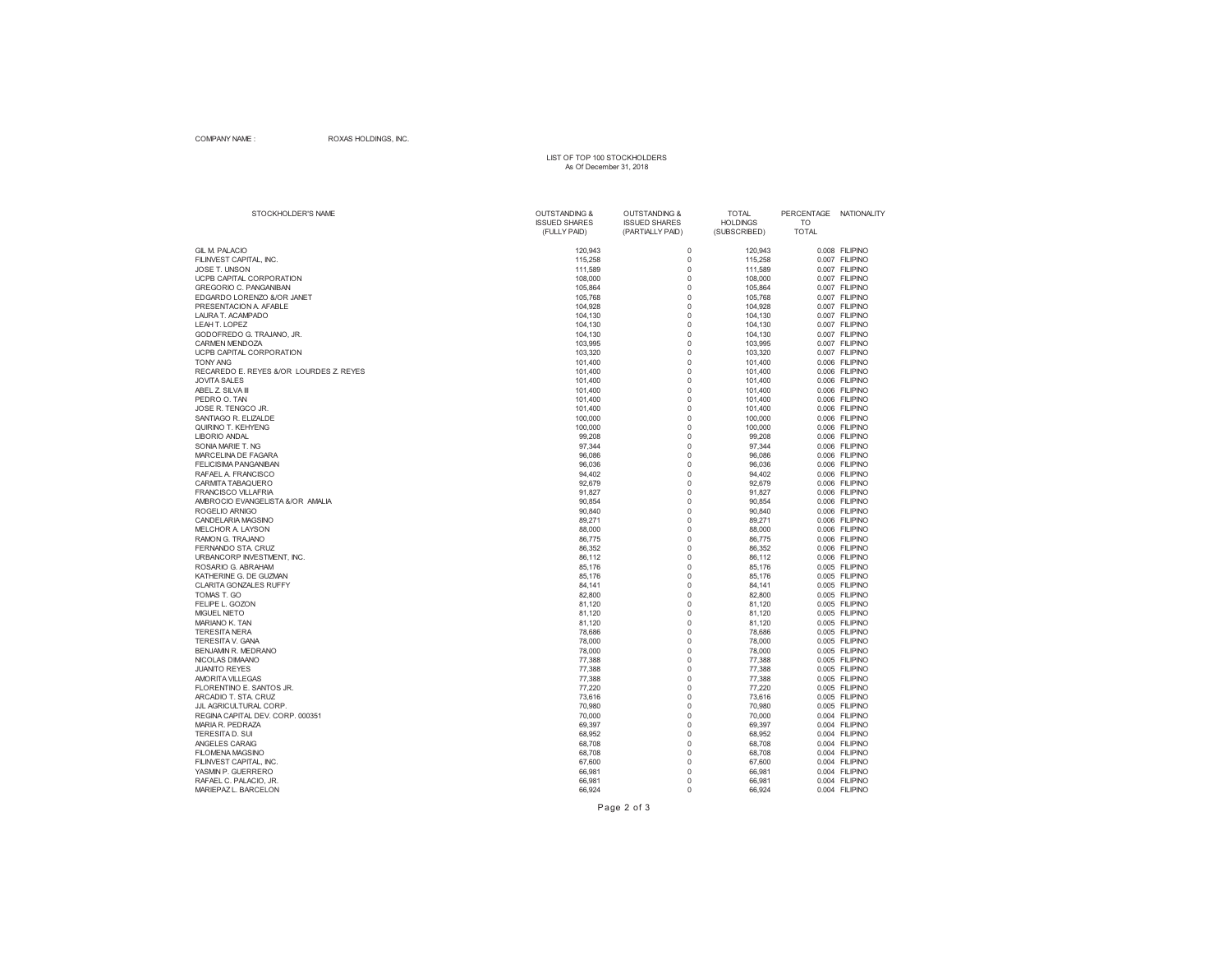### COMPANY NAME : ROXAS HOLDINGS, INC.

## LIST OF TOP 100 STOCKHOLDERS As Of December 31, 2018

| STOCKHOLDER'S NAME                      | <b>OUTSTANDING &amp;</b><br><b>ISSUED SHARES</b><br>(FULLY PAID) | <b>OUTSTANDING &amp;</b><br><b>ISSUED SHARES</b><br>(PARTIALLY PAID) | <b>TOTAL</b><br><b>HOLDINGS</b><br>(SUBSCRIBED) | PERCENTAGE<br><b>TO</b><br><b>TOTAL</b> | NATIONALITY    |
|-----------------------------------------|------------------------------------------------------------------|----------------------------------------------------------------------|-------------------------------------------------|-----------------------------------------|----------------|
| <b>GIL M. PALACIO</b>                   | 120,943                                                          | $\mathbf 0$                                                          | 120,943                                         |                                         | 0.008 FILIPINO |
| FILINVEST CAPITAL, INC.                 | 115,258                                                          | $\Omega$                                                             | 115,258                                         |                                         | 0.007 FILIPINO |
| <b>JOSE T. UNSON</b>                    | 111,589                                                          | $\Omega$                                                             | 111,589                                         |                                         | 0.007 FILIPINO |
| UCPB CAPITAL CORPORATION                | 108,000                                                          | $\Omega$                                                             | 108,000                                         |                                         | 0.007 FILIPINO |
| <b>GREGORIO C. PANGANIBAN</b>           | 105,864                                                          | $\Omega$                                                             | 105,864                                         |                                         | 0.007 FILIPINO |
| EDGARDO LORENZO &/OR JANET              | 105,768                                                          | 0                                                                    | 105,768                                         |                                         | 0.007 FILIPINO |
| PRESENTACION A. AFABLE                  | 104,928                                                          | $\Omega$                                                             | 104,928                                         |                                         | 0.007 FILIPINO |
| LAURA T. ACAMPADO                       | 104,130                                                          | $\mathbf 0$                                                          | 104,130                                         |                                         | 0.007 FILIPINO |
| LEAH T. LOPEZ                           | 104,130                                                          | $\Omega$                                                             | 104,130                                         |                                         | 0.007 FILIPINO |
| GODOFREDO G. TRAJANO, JR.               | 104,130                                                          | $\Omega$                                                             | 104,130                                         |                                         | 0.007 FILIPINO |
| <b>CARMEN MENDOZA</b>                   | 103,995                                                          | $\mathbf 0$                                                          | 103,995                                         |                                         | 0.007 FILIPINO |
| UCPB CAPITAL CORPORATION                | 103,320                                                          | $\Omega$                                                             | 103,320                                         |                                         | 0.007 FILIPINO |
| <b>TONY ANG</b>                         | 101,400                                                          | $\mathbf 0$                                                          | 101,400                                         |                                         | 0.006 FILIPINO |
| RECAREDO E. REYES &/OR LOURDES Z. REYES | 101,400                                                          | $\mathbf 0$                                                          | 101,400                                         |                                         | 0.006 FILIPINO |
| <b>JOVITA SALES</b>                     | 101,400                                                          | $\Omega$                                                             | 101,400                                         |                                         | 0.006 FILIPINO |
| ABEL Z. SILVA III                       | 101,400                                                          | $\Omega$                                                             | 101,400                                         |                                         | 0.006 FILIPINO |
| PEDRO O. TAN                            | 101,400                                                          | $\Omega$                                                             | 101,400                                         |                                         | 0.006 FILIPINO |
| JOSE R. TENGCO JR.                      | 101,400                                                          | $\mathbf 0$                                                          | 101,400                                         |                                         | 0.006 FILIPINO |
| SANTIAGO R. ELIZALDE                    | 100,000                                                          | $\Omega$                                                             | 100,000                                         |                                         | 0.006 FILIPINO |
| QUIRINO T. KEHYENG                      | 100,000                                                          | $\Omega$                                                             | 100,000                                         |                                         | 0.006 FILIPINO |
| <b>LIBORIO ANDAL</b>                    | 99,208                                                           | $\overline{0}$                                                       | 99,208                                          |                                         | 0.006 FILIPINO |
| SONIA MARIE T. NG                       | 97,344                                                           | $\Omega$                                                             | 97,344                                          |                                         | 0.006 FILIPINO |
| MARCELINA DE FAGARA                     | 96,086                                                           | $\Omega$                                                             | 96,086                                          |                                         | 0.006 FILIPINO |
| <b>FELICISIMA PANGANIBAN</b>            | 96,036                                                           | $\Omega$                                                             | 96,036                                          |                                         | 0.006 FILIPINO |
| RAFAEL A. FRANCISCO                     | 94,402                                                           | $\mathbf 0$                                                          | 94,402                                          |                                         | 0.006 FILIPINO |
| CARMITA TABAQUERO                       | 92,679                                                           | $\Omega$                                                             | 92,679                                          |                                         | 0.006 FILIPINO |
| <b>FRANCISCO VILLAFRIA</b>              | 91.827                                                           | $\Omega$                                                             | 91.827                                          |                                         | 0.006 FILIPINO |
| AMBROCIO EVANGELISTA &/OR AMALIA        | 90,854                                                           | $\mathbf 0$                                                          | 90,854                                          |                                         | 0.006 FILIPINO |
| ROGELIO ARNIGO                          | 90,840                                                           | $\Omega$                                                             | 90,840                                          |                                         | 0.006 FILIPINO |
| CANDELARIA MAGSINO                      | 89,271                                                           | $\Omega$                                                             | 89,271                                          |                                         | 0.006 FILIPINO |
| MELCHOR A. LAYSON                       | 88,000                                                           | $\Omega$                                                             | 88,000                                          |                                         | 0.006 FILIPINO |
| RAMON G. TRAJANO                        | 86,775                                                           | $\Omega$                                                             | 86,775                                          |                                         | 0.006 FILIPINO |
| FERNANDO STA. CRUZ                      | 86,352                                                           | $\Omega$                                                             | 86,352                                          |                                         | 0.006 FILIPINO |
| URBANCORP INVESTMENT. INC.              | 86.112                                                           | $\Omega$                                                             | 86.112                                          |                                         | 0.006 FILIPINO |
| ROSARIO G. ABRAHAM                      | 85,176                                                           | $\mathbf 0$                                                          | 85,176                                          |                                         | 0.005 FILIPINO |
| KATHERINE G. DE GUZMAN                  | 85,176                                                           | $\overline{0}$                                                       | 85,176                                          |                                         | 0.005 FILIPINO |
| <b>CLARITA GONZALES RUFFY</b>           | 84,141                                                           | $\Omega$                                                             | 84,141                                          |                                         | 0.005 FILIPINO |
| TOMAS T. GO                             | 82,800                                                           | $\Omega$                                                             | 82,800                                          |                                         | 0.005 FILIPINO |
| FELIPE L. GOZON                         | 81,120                                                           | $\Omega$                                                             | 81,120                                          |                                         | 0.005 FILIPINO |
| <b>MIGUEL NIETO</b>                     | 81,120                                                           | $\Omega$                                                             | 81,120                                          |                                         | 0.005 FILIPINO |
| MARIANO K. TAN                          | 81,120                                                           | $\Omega$                                                             | 81,120                                          |                                         | 0.005 FILIPINO |
| <b>TERESITA NERA</b>                    | 78,686                                                           | $\mathbf 0$                                                          | 78,686                                          |                                         | 0.005 FILIPINO |
| TERESITA V. GANA                        | 78,000                                                           | $\Omega$                                                             | 78,000                                          |                                         | 0.005 FILIPINO |
| <b>BENJAMIN R. MEDRANO</b>              | 78,000                                                           | $\Omega$                                                             | 78,000                                          |                                         | 0.005 FILIPINO |
| NICOLAS DIMAANO                         | 77,388                                                           | $\Omega$                                                             | 77,388                                          |                                         | 0.005 FILIPINO |
| <b>JUANITO REYES</b>                    | 77,388                                                           | $\Omega$                                                             | 77,388                                          |                                         | 0.005 FILIPINO |
| <b>AMORITA VILLEGAS</b>                 | 77,388                                                           | $\mathbf 0$                                                          | 77,388                                          |                                         | 0.005 FILIPINO |
| FLORENTINO E. SANTOS JR.                | 77,220                                                           | $\Omega$                                                             | 77,220                                          |                                         | 0.005 FILIPINO |
| ARCADIO T. STA. CRUZ                    | 73,616                                                           | $\mathbf 0$                                                          | 73,616                                          |                                         | 0.005 FILIPINO |
| JJL AGRICULTURAL CORP.                  | 70,980                                                           | $\Omega$                                                             | 70,980                                          |                                         | 0.005 FILIPINO |
| REGINA CAPITAL DEV. CORP. 000351        | 70,000                                                           | $\Omega$                                                             | 70,000                                          |                                         | 0.004 FILIPINO |
| MARIA R. PEDRAZA                        | 69,397                                                           | $\mathbf 0$                                                          | 69,397                                          |                                         | 0.004 FILIPINO |
| <b>TERESITAD. SUI</b>                   | 68,952                                                           | $\mathbf 0$                                                          | 68,952                                          |                                         | 0.004 FILIPINO |
| ANGELES CARAIG                          | 68,708                                                           | $\mathbf 0$                                                          | 68,708                                          |                                         | 0.004 FILIPINO |
| <b>FILOMENA MAGSINO</b>                 | 68,708                                                           | $\Omega$                                                             | 68,708                                          |                                         | 0.004 FILIPINO |
| FILINVEST CAPITAL, INC.                 | 67,600                                                           | $\Omega$                                                             | 67,600                                          |                                         | 0.004 FILIPINO |
| YASMIN P. GUERRERO                      | 66,981                                                           | $\Omega$                                                             | 66,981                                          |                                         | 0.004 FILIPINO |
| RAFAEL C. PALACIO, JR.                  | 66,981                                                           | $\Omega$                                                             | 66,981                                          |                                         | 0.004 FILIPINO |
| MARIEPAZ L. BARCELON                    | 66,924                                                           | $\Omega$                                                             | 66,924                                          |                                         | 0.004 FILIPINO |

Page 2 of 3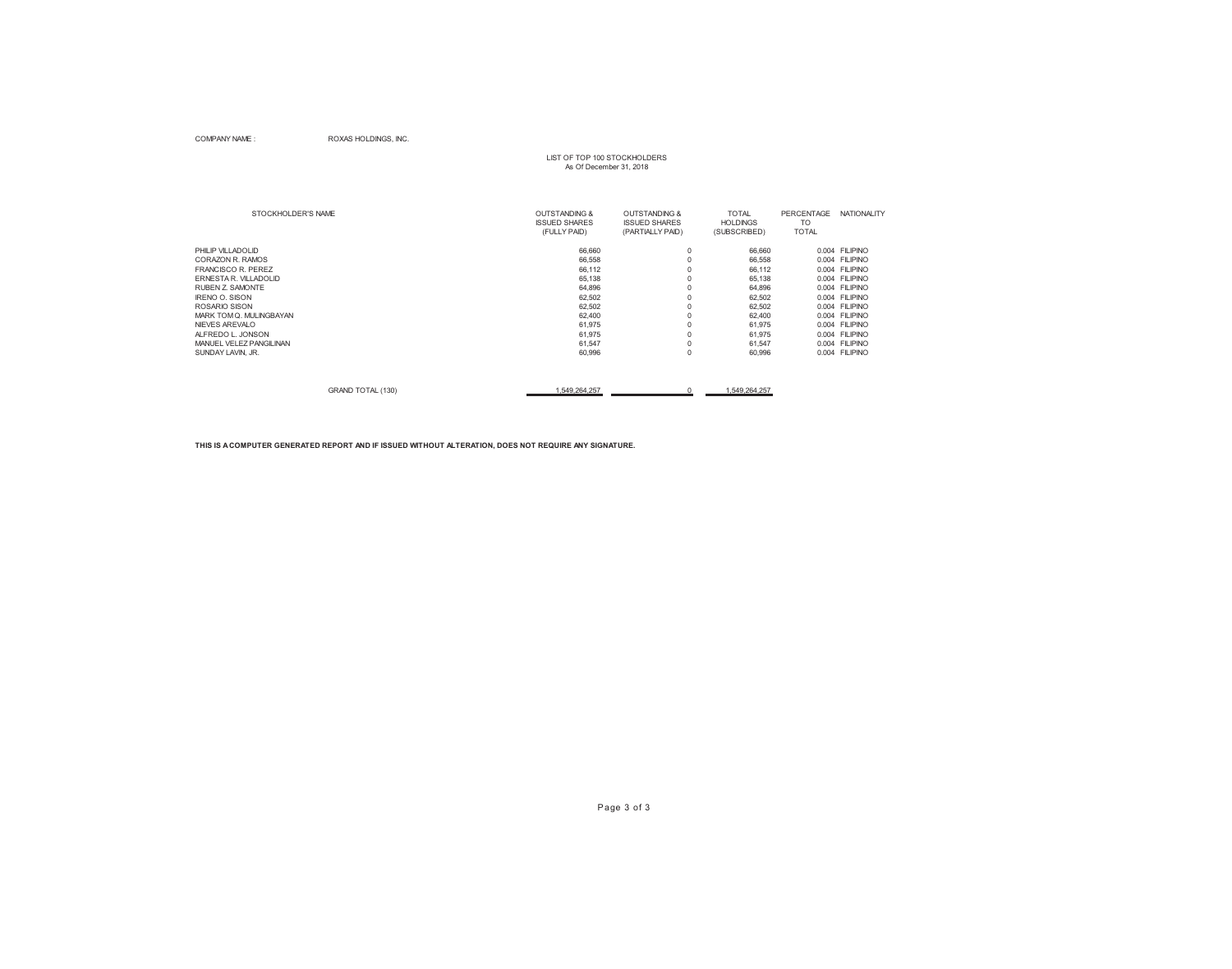### COMPANY NAME : ROXAS HOLDINGS, INC.

# LIST OF TOP 100 STOCKHOLDERS As Of December 31, 2018

| STOCKHOLDER'S NAME        | <b>OUTSTANDING &amp;</b><br><b>ISSUED SHARES</b><br>(FULLY PAID) | <b>OUTSTANDING &amp;</b><br><b>ISSUED SHARES</b><br>(PARTIALLY PAID) | <b>TOTAL</b><br><b>HOLDINGS</b><br>(SUBSCRIBED) | <b>PERCENTAGE</b><br>TO<br><b>TOTAL</b> | <b>NATIONALITY</b> |
|---------------------------|------------------------------------------------------------------|----------------------------------------------------------------------|-------------------------------------------------|-----------------------------------------|--------------------|
| PHILIP VILLADOLID         | 66,660                                                           | $\Omega$                                                             | 66,660                                          |                                         | 0.004 FILIPINO     |
| CORAZON R. RAMOS          | 66,558                                                           | $\Omega$                                                             | 66,558                                          |                                         | 0.004 FILIPINO     |
| <b>FRANCISCO R. PEREZ</b> | 66,112                                                           |                                                                      | 66,112                                          |                                         | 0.004 FILIPINO     |
| ERNESTA R. VILLADOLID     | 65,138                                                           | $\Omega$                                                             | 65,138                                          |                                         | 0.004 FILIPINO     |
| <b>RUBEN Z. SAMONTE</b>   | 64,896                                                           |                                                                      | 64,896                                          |                                         | 0.004 FILIPINO     |
| <b>IRENO O. SISON</b>     | 62,502                                                           | $\Omega$                                                             | 62,502                                          |                                         | 0.004 FILIPINO     |
| ROSARIO SISON             | 62,502                                                           | 0                                                                    | 62,502                                          | 0.004                                   | <b>FILIPINO</b>    |
| MARK TOM Q. MULINGBAYAN   | 62,400                                                           |                                                                      | 62,400                                          |                                         | 0.004 FILIPINO     |
| NIEVES AREVALO            | 61,975                                                           |                                                                      | 61,975                                          |                                         | 0.004 FILIPINO     |
| ALFREDO L. JONSON         | 61,975                                                           |                                                                      | 61,975                                          |                                         | 0.004 FILIPINO     |
| MANUEL VELEZ PANGILINAN   | 61,547                                                           | $\Omega$                                                             | 61,547                                          |                                         | 0.004 FILIPINO     |
| SUNDAY LAVIN, JR.         | 60,996                                                           | 0                                                                    | 60,996                                          | 0.004                                   | <b>FILIPINO</b>    |
| GRAND TOTAL (130)         | 549,264,257                                                      |                                                                      | 1,549,264,257                                   |                                         |                    |

**THIS IS A COMPUTER GENERATED REPORT AND IF ISSUED WITHOUT ALTERATION, DOES NOT REQUIRE ANY SIGNATURE.**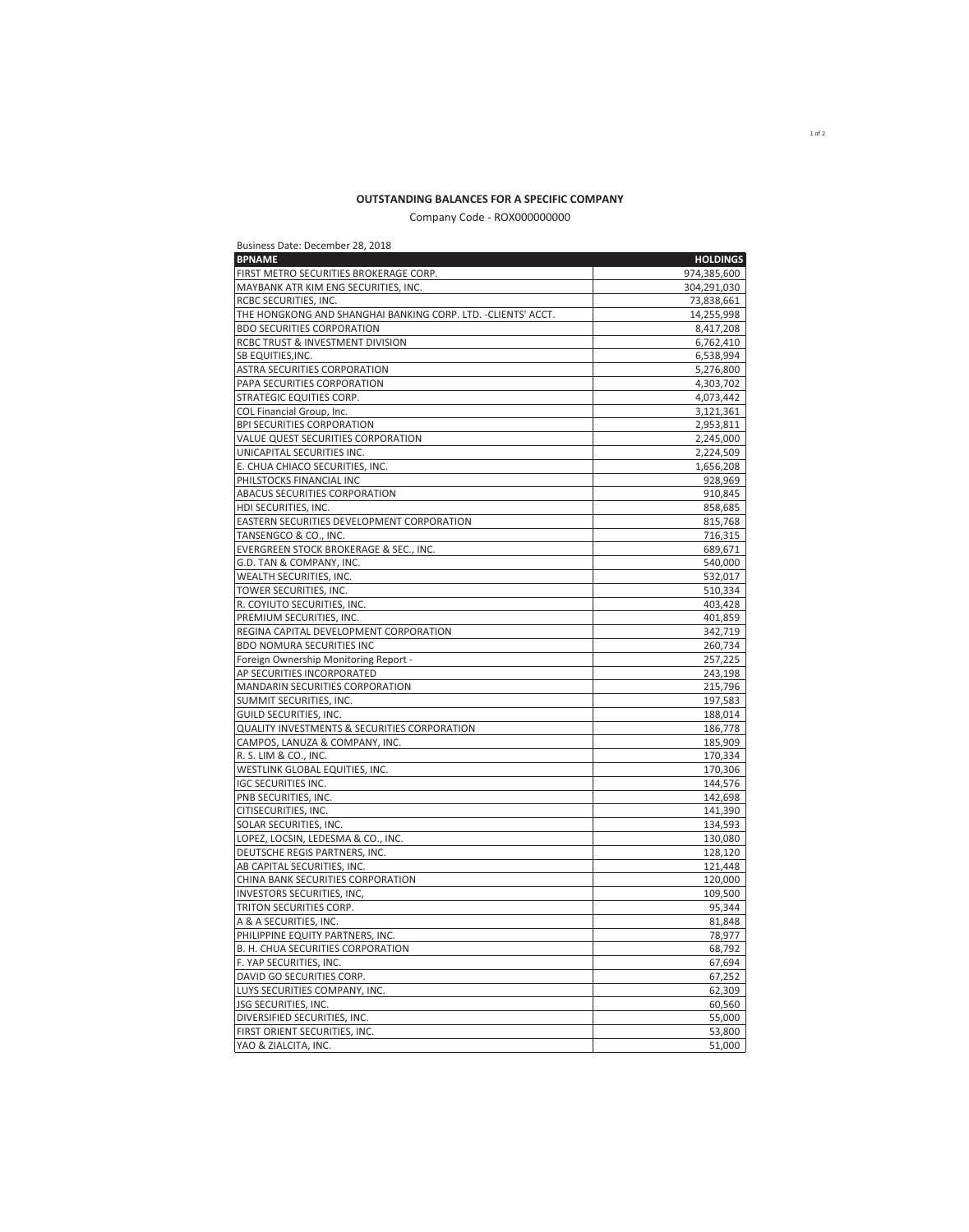### **OUTSTANDING BALANCES FOR A SPECIFIC COMPANY**

Company Code - ROX000000000

| Business Date: December 28, 2018                              |                 |
|---------------------------------------------------------------|-----------------|
| <b>BPNAME</b>                                                 | <b>HOLDINGS</b> |
| FIRST METRO SECURITIES BROKERAGE CORP.                        | 974,385,600     |
| MAYBANK ATR KIM ENG SECURITIES, INC.                          | 304,291,030     |
| <b>RCBC SECURITIES, INC.</b>                                  | 73,838,661      |
| THE HONGKONG AND SHANGHAI BANKING CORP. LTD. - CLIENTS' ACCT. | 14,255,998      |
| <b>BDO SECURITIES CORPORATION</b>                             | 8,417,208       |
| <b>RCBC TRUST &amp; INVESTMENT DIVISION</b>                   | 6,762,410       |
| <b>SB EQUITIES, INC.</b>                                      | 6,538,994       |
| <b>ASTRA SECURITIES CORPORATION</b>                           | 5,276,800       |
| PAPA SECURITIES CORPORATION                                   | 4,303,702       |
| <b>STRATEGIC EQUITIES CORP.</b>                               | 4,073,442       |
| COL Financial Group, Inc.                                     | 3,121,361       |
| <b>BPI SECURITIES CORPORATION</b>                             | 2,953,811       |
| VALUE QUEST SECURITIES CORPORATION                            | 2,245,000       |
| UNICAPITAL SECURITIES INC.                                    | 2,224,509       |
| E. CHUA CHIACO SECURITIES, INC.                               | 1,656,208       |
| PHILSTOCKS FINANCIAL INC                                      | 928,969         |
| <b>ABACUS SECURITIES CORPORATION</b>                          | 910,845         |
| <b>HDI SECURITIES, INC.</b>                                   | 858,685         |
| EASTERN SECURITIES DEVELOPMENT CORPORATION                    | 815,768         |
| TANSENGCO & CO., INC.                                         | 716,315         |
| <b>EVERGREEN STOCK BROKERAGE &amp; SEC., INC.</b>             | 689,671         |
| G.D. TAN & COMPANY, INC.                                      | 540,000         |
| WEALTH SECURITIES, INC.                                       | 532,017         |
| TOWER SECURITIES, INC.                                        | 510,334         |
| R. COYIUTO SECURITIES, INC.                                   | 403,428         |
| PREMIUM SECURITIES, INC.                                      | 401,859         |
| REGINA CAPITAL DEVELOPMENT CORPORATION                        | 342,719         |
| <b>BDO NOMURA SECURITIES INC</b>                              | 260,734         |
| Foreign Ownership Monitoring Report -                         | 257,225         |
| AP SECURITIES INCORPORATED                                    | 243,198         |
| MANDARIN SECURITIES CORPORATION                               | 215,796         |
| SUMMIT SECURITIES, INC.                                       | 197,583         |
| <b>GUILD SECURITIES, INC.</b>                                 | 188,014         |
| QUALITY INVESTMENTS & SECURITIES CORPORATION                  | 186,778         |
| CAMPOS, LANUZA & COMPANY, INC.                                | 185,909         |
| R. S. LIM & CO., INC.                                         | 170,334         |
| WESTLINK GLOBAL EQUITIES, INC.                                | 170,306         |
| IGC SECURITIES INC.                                           | 144,576         |
| PNB SECURITIES, INC.                                          | 142,698         |
| <b>CITISECURITIES, INC.</b>                                   | 141,390         |
| SOLAR SECURITIES, INC.                                        | 134,593         |
| LOPEZ, LOCSIN, LEDESMA & CO., INC.                            | 130,080         |
| DEUTSCHE REGIS PARTNERS, INC.                                 | 128,120         |
| AB CAPITAL SECURITIES, INC.                                   | 121,448         |
| CHINA BANK SECURITIES CORPORATION                             | 120,000         |
| <b>INVESTORS SECURITIES, INC.</b>                             | 109,500         |
| TRITON SECURITIES CORP.                                       | 95,344          |
| A & A SECURITIES, INC.                                        | 81,848          |
| PHILIPPINE EQUITY PARTNERS, INC.                              | 78,977          |
| B. H. CHUA SECURITIES CORPORATION                             | 68,792          |
| F. YAP SECURITIES, INC.                                       | 67,694          |
| DAVID GO SECURITIES CORP.                                     | 67,252          |
| LUYS SECURITIES COMPANY, INC.                                 | 62,309          |
| <b>JSG SECURITIES, INC.</b>                                   | 60,560          |
| DIVERSIFIED SECURITIES, INC.                                  | 55,000          |
| FIRST ORIENT SECURITIES, INC.                                 | 53,800          |
| YAO & ZIALCITA, INC.                                          | 51,000          |